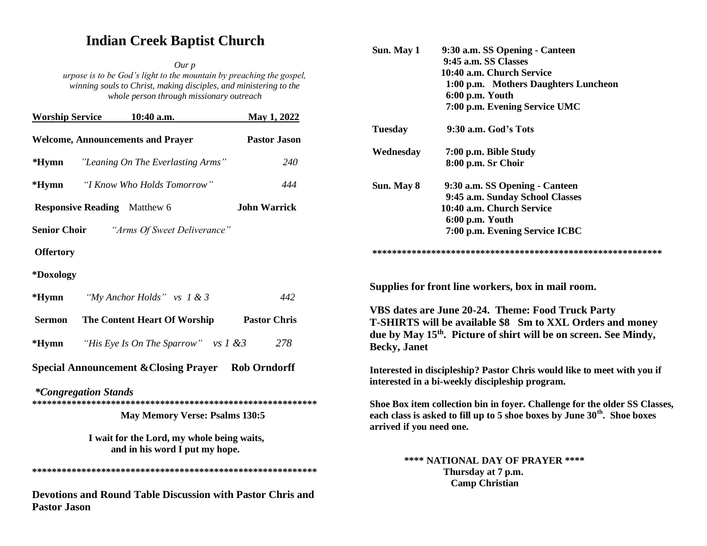# **Indian Creek Baptist Church**

*Our p urpose is to be God's light to the mountain by preaching the gospel, winning souls to Christ, making disciples, and ministering to the whole person through missionary outreach*

|                  | <b>Worship Service 10:40 a.m.</b>                           | May 1, 2022         |
|------------------|-------------------------------------------------------------|---------------------|
|                  | <b>Welcome, Announcements and Prayer</b>                    | <b>Pastor Jason</b> |
|                  | <b>*Hymn</b> "Leaning On The Everlasting Arms"              | <i>240</i>          |
|                  | <i>*Hymn "I Know Who Holds Tomorrow"</i>                    | 444                 |
|                  | <b>Responsive Reading</b> Matthew 6                         | <b>John Warrick</b> |
|                  | <b>Senior Choir</b> "Arms Of Sweet Deliverance"             |                     |
| <b>Offertory</b> |                                                             |                     |
| *Doxology        |                                                             |                     |
|                  | <b>*Hymn</b> "My Anchor Holds" vs $1 \& 3$                  | 442                 |
| Sermon           | The Content Heart Of Worship                                | <b>Pastor Chris</b> |
|                  | <b>*Hymn</b> <i>"His Eye Is On The Sparrow"</i> vs $1 \& 3$ | 278                 |
|                  | <b>Special Announcement &amp; Closing Prayer</b>            | <b>Rob Orndorff</b> |

*\*Congregation Stands* 

**\*\*\*\*\*\*\*\*\*\*\*\*\*\*\*\*\*\*\*\*\*\*\*\*\*\*\*\*\*\*\*\*\*\*\*\*\*\*\*\*\*\*\*\*\*\*\*\*\*\*\*\*\*\*\*\*\*\***

 **May Memory Verse: Psalms 130:5** 

 **I wait for the Lord, my whole being waits, and in his word I put my hope.**

**\*\*\*\*\*\*\*\*\*\*\*\*\*\*\*\*\*\*\*\*\*\*\*\*\*\*\*\*\*\*\*\*\*\*\*\*\*\*\*\*\*\*\*\*\*\*\*\*\*\*\*\*\*\*\*\*\*\***

**Devotions and Round Table Discussion with Pastor Chris and Pastor Jason** 

| Sun. May 1     | 9:30 a.m. SS Opening - Canteen       |  |
|----------------|--------------------------------------|--|
|                | 9:45 a.m. SS Classes                 |  |
|                | 10:40 a.m. Church Service            |  |
|                | 1:00 p.m. Mothers Daughters Luncheon |  |
|                | 6:00 p.m. Youth                      |  |
|                | 7:00 p.m. Evening Service UMC        |  |
| <b>Tuesday</b> | 9:30 a.m. God's Tots                 |  |
| Wednesday      | 7:00 p.m. Bible Study                |  |
|                | 8:00 p.m. Sr Choir                   |  |
| Sun. May 8     | 9:30 a.m. SS Opening - Canteen       |  |
|                | 9:45 a.m. Sunday School Classes      |  |
|                | 10:40 a.m. Church Service            |  |
|                | $6:00$ p.m. Youth                    |  |
|                | 7:00 p.m. Evening Service ICBC       |  |

**Supplies for front line workers, box in mail room.**

**VBS dates are June 20-24. Theme: Food Truck Party T-SHIRTS will be available \$8 Sm to XXL Orders and money due by May 15th. Picture of shirt will be on screen. See Mindy, Becky, Janet**

**Interested in discipleship? Pastor Chris would like to meet with you if interested in a bi-weekly discipleship program.**

**Shoe Box item collection bin in foyer. Challenge for the older SS Classes, each class is asked to fill up to 5 shoe boxes by June 30th. Shoe boxes arrived if you need one.**

> **\*\*\*\* NATIONAL DAY OF PRAYER \*\*\*\* Thursday at 7 p.m. Camp Christian**